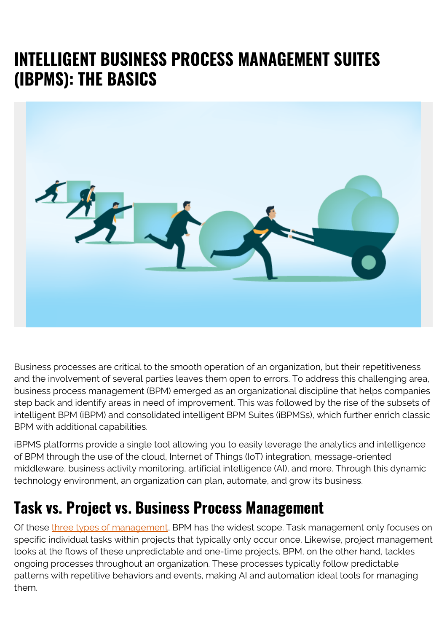## **INTELLIGENT BUSINESS PROCESS MANAGEMENT SUITES (IBPMS): THE BASICS**



Business processes are critical to the smooth operation of an organization, but their repetitiveness and the involvement of several parties leaves them open to errors. To address this challenging area, business process management (BPM) emerged as an organizational discipline that helps companies step back and identify areas in need of improvement. This was followed by the rise of the subsets of intelligent BPM (iBPM) and consolidated intelligent BPM Suites (iBPMSs), which further enrich classic BPM with additional capabilities.

iBPMS platforms provide a single tool allowing you to easily leverage the analytics and intelligence of BPM through the use of the cloud, Internet of Things (IoT) integration, message-oriented middleware, business activity monitoring, artificial intelligence (AI), and more. Through this dynamic technology environment, an organization can plan, automate, and grow its business.

#### **Task vs. Project vs. Business Process Management**

Of these [three types of management,](https://blog.capterra.com/task-project-and-process-management/) BPM has the widest scope. Task management only focuses on specific individual tasks within projects that typically only occur once. Likewise, project management looks at the flows of these unpredictable and one-time projects. BPM, on the other hand, tackles ongoing processes throughout an organization. These processes typically follow predictable patterns with repetitive behaviors and events, making AI and automation ideal tools for managing them.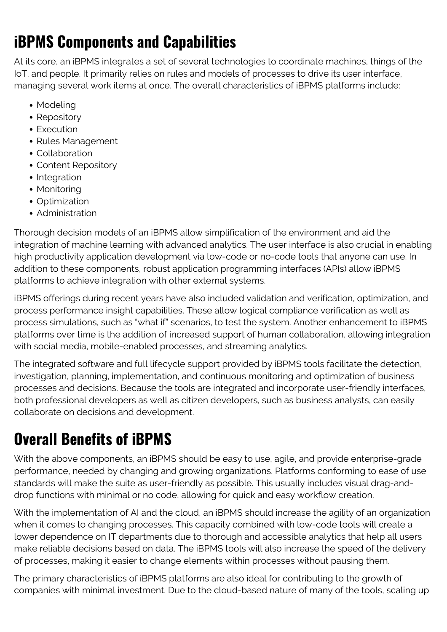## **iBPMS Components and Capabilities**

At its core, an iBPMS integrates a set of several technologies to coordinate machines, things of the IoT, and people. It primarily relies on rules and models of processes to drive its user interface, managing several work items at once. The overall characteristics of iBPMS platforms include:

- Modeling
- Repository
- Execution
- Rules Management
- Collaboration
- Content Repository
- Integration
- Monitoring
- Optimization
- Administration

Thorough decision models of an iBPMS allow simplification of the environment and aid the integration of machine learning with advanced analytics. The user interface is also crucial in enabling high productivity application development via low-code or no-code tools that anyone can use. In addition to these components, robust application programming interfaces (APIs) allow iBPMS platforms to achieve integration with other external systems.

iBPMS offerings during recent years have also included validation and verification, optimization, and process performance insight capabilities. These allow logical compliance verification as well as process simulations, such as "what if" scenarios, to test the system. Another enhancement to iBPMS platforms over time is the addition of increased support of human collaboration, allowing integration with social media, mobile-enabled processes, and streaming analytics.

The integrated software and full lifecycle support provided by iBPMS tools facilitate the detection, investigation, planning, implementation, and continuous monitoring and optimization of business processes and decisions. Because the tools are integrated and incorporate user-friendly interfaces, both professional developers as well as citizen developers, such as business analysts, can easily collaborate on decisions and development.

# **Overall Benefits of iBPMS**

With the above components, an iBPMS should be easy to use, agile, and provide enterprise-grade performance, needed by changing and growing organizations. Platforms conforming to ease of use standards will make the suite as user-friendly as possible. This usually includes visual drag-anddrop functions with minimal or no code, allowing for quick and easy workflow creation.

With the implementation of AI and the cloud, an iBPMS should increase the agility of an organization when it comes to changing processes. This capacity combined with low-code tools will create a lower dependence on IT departments due to thorough and accessible analytics that help all users make reliable decisions based on data. The iBPMS tools will also increase the speed of the delivery of processes, making it easier to change elements within processes without pausing them.

The primary characteristics of iBPMS platforms are also ideal for contributing to the growth of companies with minimal investment. Due to the cloud-based nature of many of the tools, scaling up